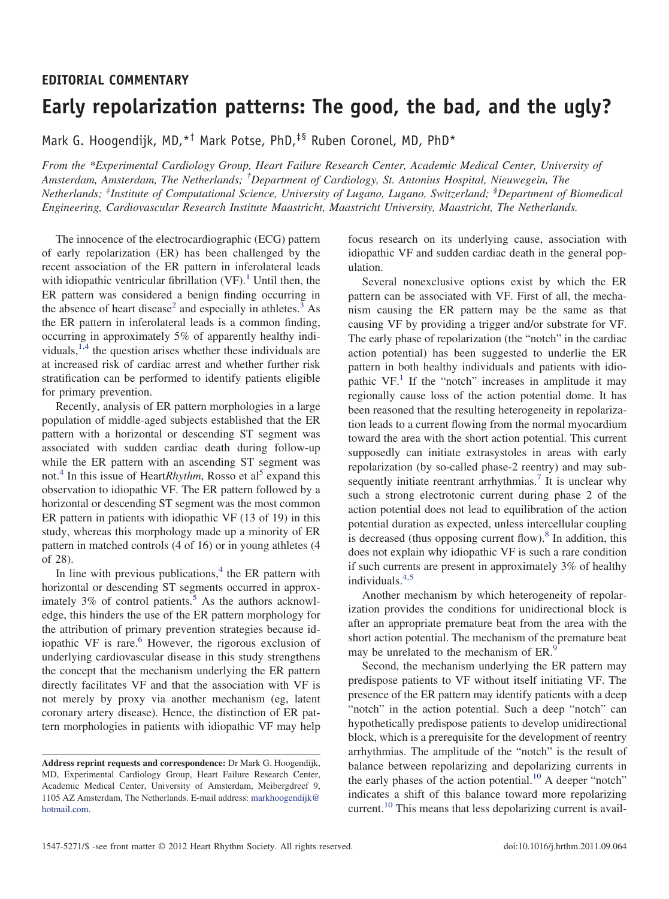## **EDITORIAL COMMENTARY**

## **Early repolarization patterns: The good, the bad, and the ugly?**

Mark G. Hoogendijk, MD, \*<sup>†</sup> Mark Potse, PhD,<sup>‡§</sup> Ruben Coronel, MD, PhD \*

*From the \*Experimental Cardiology Group, Heart Failure Research Center, Academic Medical Center, University of Amsterdam, Amsterdam, The Netherlands; † Department of Cardiology, St. Antonius Hospital, Nieuwegein, The Netherlands; ‡ Institute of Computational Science, University of Lugano, Lugano, Switzerland; § Department of Biomedical Engineering, Cardiovascular Research Institute Maastricht, Maastricht University, Maastricht, The Netherlands.*

The innocence of the electrocardiographic (ECG) pattern of early repolarization (ER) has been challenged by the recent association of the ER pattern in inferolateral leads with idiopathic ventricular fibrillation  $(VF)$ .<sup>[1](#page-1-0)</sup> Until then, the ER pattern was considered a benign finding occurring in the absence of heart disease<sup>2</sup> and especially in athletes.<sup>3</sup> As the ER pattern in inferolateral leads is a common finding, occurring in approximately 5% of apparently healthy individuals,  $1,4$  the question arises whether these individuals are at increased risk of cardiac arrest and whether further risk stratification can be performed to identify patients eligible for primary prevention.

Recently, analysis of ER pattern morphologies in a large population of middle-aged subjects established that the ER pattern with a horizontal or descending ST segment was associated with sudden cardiac death during follow-up while the ER pattern with an ascending ST segment was not.<sup>[4](#page-1-3)</sup> In this issue of Heart*Rhythm*, Rosso et al<sup>5</sup> expand this observation to idiopathic VF. The ER pattern followed by a horizontal or descending ST segment was the most common ER pattern in patients with idiopathic VF (13 of 19) in this study, whereas this morphology made up a minority of ER pattern in matched controls (4 of 16) or in young athletes (4 of 28).

In line with previous publications, $4$  the ER pattern with horizontal or descending ST segments occurred in approximately  $3\%$  of control patients.<sup>[5](#page-1-4)</sup> As the authors acknowledge, this hinders the use of the ER pattern morphology for the attribution of primary prevention strategies because idiopathic VF is rare. $6$  However, the rigorous exclusion of underlying cardiovascular disease in this study strengthens the concept that the mechanism underlying the ER pattern directly facilitates VF and that the association with VF is not merely by proxy via another mechanism (eg, latent coronary artery disease). Hence, the distinction of ER pattern morphologies in patients with idiopathic VF may help focus research on its underlying cause, association with idiopathic VF and sudden cardiac death in the general population.

Several nonexclusive options exist by which the ER pattern can be associated with VF. First of all, the mechanism causing the ER pattern may be the same as that causing VF by providing a trigger and/or substrate for VF. The early phase of repolarization (the "notch" in the cardiac action potential) has been suggested to underlie the ER pattern in both healthy individuals and patients with idiopathic  $VF<sup>1</sup>$  If the "notch" increases in amplitude it may regionally cause loss of the action potential dome. It has been reasoned that the resulting heterogeneity in repolarization leads to a current flowing from the normal myocardium toward the area with the short action potential. This current supposedly can initiate extrasystoles in areas with early repolarization (by so-called phase-2 reentry) and may sub-sequently initiate reentrant arrhythmias.<sup>[7](#page-1-6)</sup> It is unclear why such a strong electrotonic current during phase 2 of the action potential does not lead to equilibration of the action potential duration as expected, unless intercellular coupling is decreased (thus opposing current flow). $8$  In addition, this does not explain why idiopathic VF is such a rare condition if such currents are present in approximately 3% of healthy individuals.[4,5](#page-1-3)

Another mechanism by which heterogeneity of repolarization provides the conditions for unidirectional block is after an appropriate premature beat from the area with the short action potential. The mechanism of the premature beat may be unrelated to the mechanism of ER.<sup>[9](#page-1-8)</sup>

Second, the mechanism underlying the ER pattern may predispose patients to VF without itself initiating VF. The presence of the ER pattern may identify patients with a deep "notch" in the action potential. Such a deep "notch" can hypothetically predispose patients to develop unidirectional block, which is a prerequisite for the development of reentry arrhythmias. The amplitude of the "notch" is the result of balance between repolarizing and depolarizing currents in the early phases of the action potential.<sup>10</sup> A deeper "notch" indicates a shift of this balance toward more repolarizing current.<sup>[10](#page-1-9)</sup> This means that less depolarizing current is avail-

**Address reprint requests and correspondence:** Dr Mark G. Hoogendijk, MD, Experimental Cardiology Group, Heart Failure Research Center, Academic Medical Center, University of Amsterdam, Meibergdreef 9, 1105 AZ Amsterdam, The Netherlands. E-mail address: [markhoogendijk@](mailto:markhoogendijk@hotmail.com) [hotmail.com.](mailto:markhoogendijk@hotmail.com)